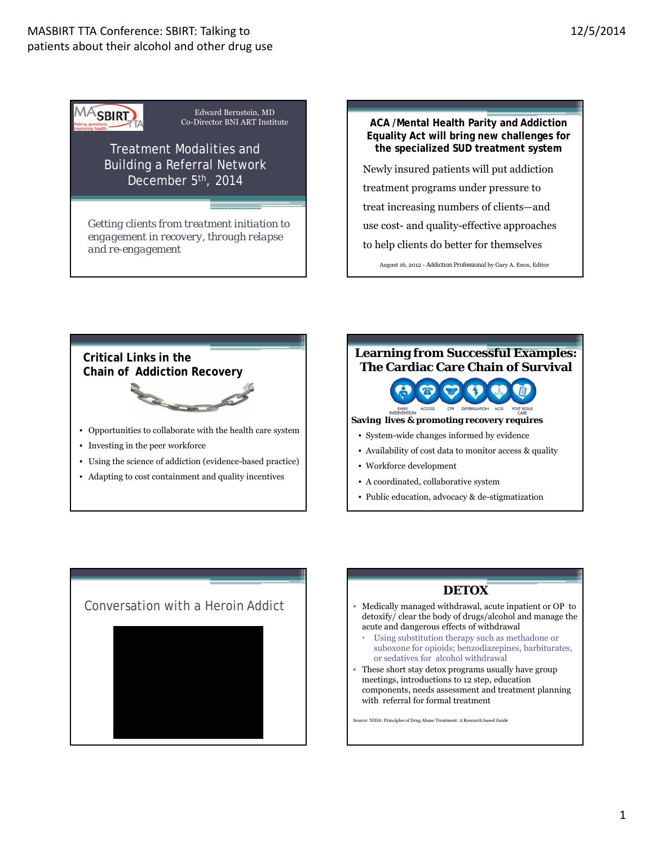# MASBIRT TTA Conference: SBIRT: Talking to patients about their alcohol and other drug use



Edward Bernstein, MD

Treatment Modalities and Building a Referral Network December 5th, 2014

*Getting clients from treatment initiation to engagement in recovery, through relapse and re-engagement*

**ACA /Mental Health Parity and Addiction Equality Act will bring new challenges for the specialized SUD treatment system** Newly insured patients will put addiction treatment programs under pressure to treat increasing numbers of clients—and use cost- and quality-effective approaches to help clients do better for themselves August 16, 2012 - *Addiction Professional* by Gary A. Enos, Editor

**Critical Links in the Chain of Addiction Recovery** • Opportunities to collaborate with the health care system

- Investing in the peer workforce
- Using the science of addiction (evidence-based practice)
- Adapting to cost containment and quality incentives





**Saving lives & promoting recovery requires** 

- System-wide changes informed by evidence
- Availability of cost data to monitor access & quality
- Workforce development
- A coordinated, collaborative system
- Public education, advocacy & de-stigmatization



# **DETOX**

- detoxify/ clear the body of drugs/alcohol and manage the acute and dangerous effects of withdrawal
	- Using substitution therapy such as methadone or suboxone for opioids; benzodiazepines, barbiturates, or sedatives for alcohol withdrawal
- These short stay detox programs usually have group meetings, introductions to 12 step, education components, needs assessment and treatment planning with referral for formal treatment

Source: NIDA: Principles of Drug Abuse Treatment: A Research based Guide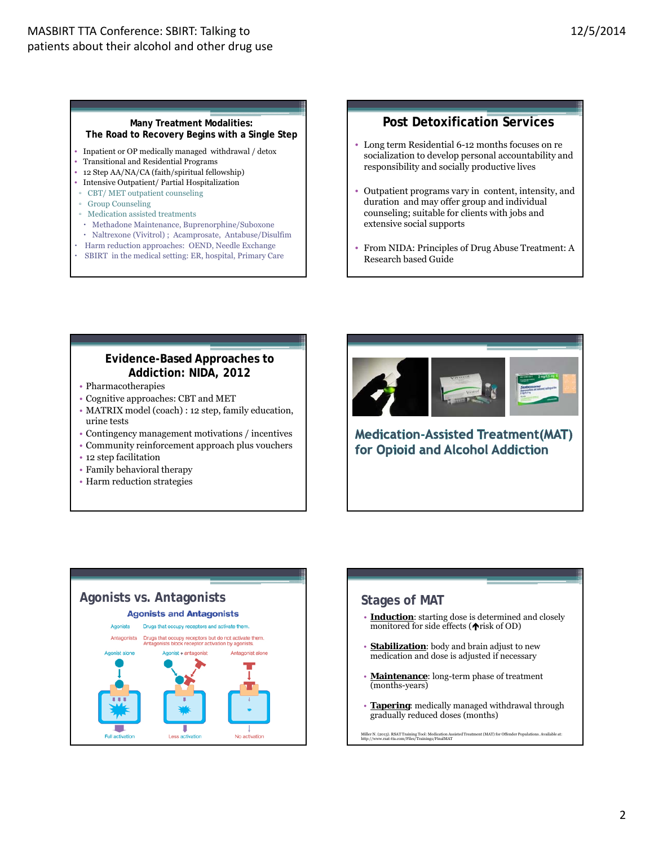#### **Many Treatment Modalities: The Road to Recovery Begins with a Single Step**

- Inpatient or OP medically managed withdrawal / detox
- Transitional and Residential Programs
- 12 Step AA/NA/CA (faith/spiritual fellowship)
- Intensive Outpatient/ Partial Hospitalization
- CBT/ MET outpatient counseling
- Group Counseling
- Medication assisted treatments
- x Methadone Maintenance, Buprenorphine/Suboxone
- x Naltrexone (Vivitrol) ; Acamprosate, Antabuse/Disulfim
- x Harm reduction approaches: OEND, Needle Exchange
- $\cdot$  SBIRT in the medical setting: ER, hospital, Primary Care

### **Post Detoxification Services**

- Long term Residential 6-12 months focuses on re socialization to develop personal accountability and responsibility and socially productive lives
- Outpatient programs vary in content, intensity, and duration and may offer group and individual counseling; suitable for clients with jobs and extensive social supports
- From NIDA: Principles of Drug Abuse Treatment: A Research based Guide

## **Evidence-Based Approaches to Addiction: NIDA, 2012**

- Pharmacotherapies
- Cognitive approaches: CBT and MET
- MATRIX model (coach) : 12 step, family education, urine tests
- Contingency management motivations / incentives
- Community reinforcement approach plus vouchers
- 12 step facilitation
- Family behavioral therapy
- Harm reduction strategies



**Medication-Assisted Treatment(MAT)** for Opioid and Alcohol Addiction



# • **Induction**: starting dose is determined and closely monitored for side effects  $(\bigwedge$ risk of OD) • **Stabilization**: body and brain adjust to new medication and dose is adjusted if necessary

- **Maintenance**: long-term phase of treatment (months-years)
- **Tapering**: medically managed withdrawal through gradually reduced doses (months)

Miller N. (2013). RSAT Training Tool: Medication Assisted Treatment (MAT) for Offender Populations. Available at: http://www.rsat-tta.com/Files/Trainings/FinalMAT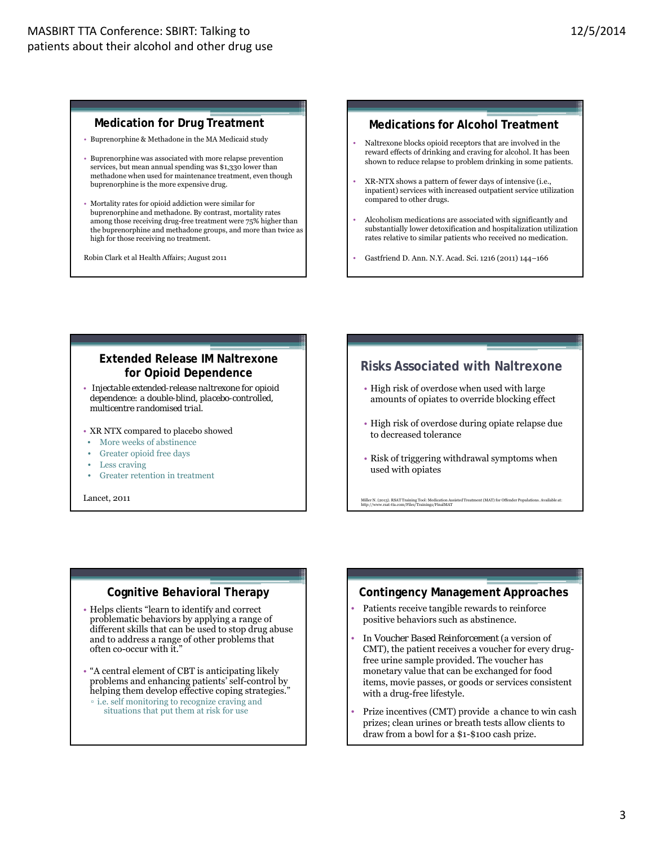#### **Medication for Drug Treatment**

- Buprenorphine & Methadone in the MA Medicaid study
- Buprenorphine was associated with more relapse prevention services, but mean annual spending was \$1,330 lower than methadone when used for maintenance treatment, even though buprenorphine is the more expensive drug.
- Mortality rates for opioid addiction were similar for buprenorphine and methadone. By contrast, mortality rates among those receiving drug-free treatment were 75% higher than the buprenorphine and methadone groups, and more than twice as high for those receiving no treatment.

Robin Clark et al Health Affairs; August 2011

#### **Medications for Alcohol Treatment**

- Naltrexone blocks opioid receptors that are involved in the reward effects of drinking and craving for alcohol. It has been shown to reduce relapse to problem drinking in some patients.
- XR-NTX shows a pattern of fewer days of intensive (i.e., inpatient) services with increased outpatient service utilization compared to other drugs.
- Alcoholism medications are associated with significantly and substantially lower detoxification and hospitalization utilization rates relative to similar patients who received no medication.
- Gastfriend D. Ann. N.Y. Acad. Sci. 1216 (2011) 144–166

## **Extended Release IM Naltrexone for Opioid Dependence**

- *Injectable extended-release naltrexone for opioid dependence: a double-blind, placebo-controlled, multicentre randomised trial*.
- XR NTX compared to placebo showed
- More weeks of abstinence
- Greater opioid free days
- Less craving
- Greater retention in treatment

Lancet, 2011

# **Risks Associated with Naltrexone**

- High risk of overdose when used with large amounts of opiates to override blocking effect
- High risk of overdose during opiate relapse due to decreased tolerance
- Risk of triggering withdrawal symptoms when used with opiates

Miller N. (2013). RSAT Training Tool: Medication Assisted Treatment (MAT) for Offender Populations. Available at: http://www.rsat-tta.com/Files/Trainings/FinalMAT

#### **Cognitive Behavioral Therapy**

- Helps clients "learn to identify and correct problematic behaviors by applying a range of different skills that can be used to stop drug abuse and to address a range of other problems that often co-occur with it."
- "A central element of CBT is anticipating likely problems and enhancing patients' self-control by helping them develop effective coping strategies." ▫ i.e. self monitoring to recognize craving and
	- situations that put them at risk for use

#### **Contingency Management Approaches**

- Patients receive tangible rewards to reinforce positive behaviors such as abstinence.
- In *Voucher Based Reinforcement* (a version of CMT), the patient receives a voucher for every drugfree urine sample provided. The voucher has monetary value that can be exchanged for food items, movie passes, or goods or services consistent with a drug-free lifestyle.
- Prize incentives (CMT) provide a chance to win cash prizes; clean urines or breath tests allow clients to draw from a bowl for a \$1-\$100 cash prize.